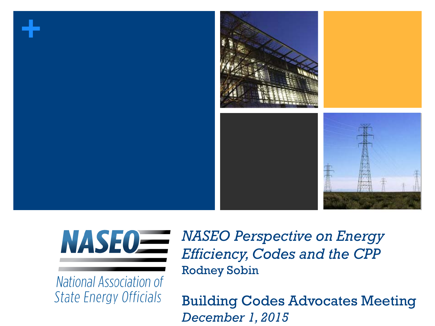

# **NASE0=**

**National Association of State Energy Officials** 

*NASEO Perspective on Energy Efficiency, Codes and the CPP*  Rodney Sobin

Building Codes Advocates Meeting *December 1, 2015*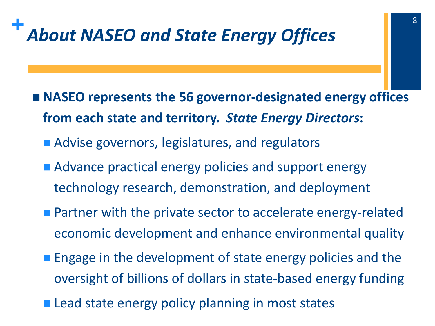## **+***About NASEO and State Energy Offices*

- NASEO represents the 56 governor-designated energy offices **from each state and territory.** *State Energy Directors***:**
	- Advise governors, legislatures, and regulators
	- **Advance practical energy policies and support energy** technology research, demonstration, and deployment
	- **Partner with the private sector to accelerate energy-related** economic development and enhance environmental quality
	- **Engage in the development of state energy policies and the** oversight of billions of dollars in state-based energy funding
	- **Lead state energy policy planning in most states**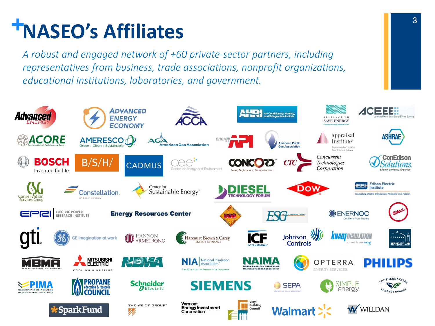## **+NASEO's Affiliates**

*A robust and engaged network of +60 private-sector partners, including representatives from business, trade associations, nonprofit organizations, educational institutions, laboratories, and government.* 

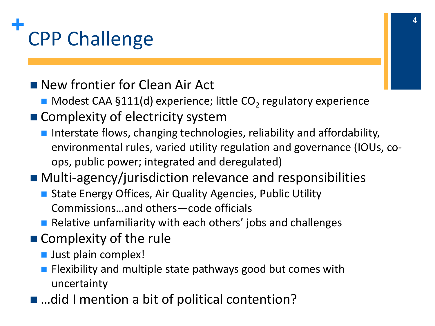

■ New frontier for Clean Air Act

- $\blacksquare$  Modest CAA §111(d) experience; little CO<sub>2</sub> regulatory experience
- Complexity of electricity system
	- **Interstate flows, changing technologies, reliability and affordability,** environmental rules, varied utility regulation and governance (IOUs, coops, public power; integrated and deregulated)

#### ■ Multi-agency/jurisdiction relevance and responsibilities

- State Energy Offices, Air Quality Agencies, Public Utility Commissions…and others—code officials
- **Relative unfamiliarity with each others' jobs and challenges**
- Complexity of the rule
	- **Just plain complex!**
	- **Filexibility and multiple state pathways good but comes with** uncertainty
- ...did I mention a bit of political contention?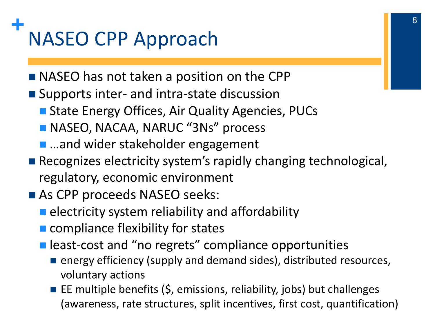## **+** NASEO CPP Approach

- **NASEO** has not taken a position on the CPP
- **Supports inter- and intra-state discussion** 
	- State Energy Offices, Air Quality Agencies, PUCs
	- NASEO, NACAA, NARUC "3Ns" process
	- …and wider stakeholder engagement
- Recognizes electricity system's rapidly changing technological, regulatory, economic environment
- As CPP proceeds NASEO seeks:
	- $\blacksquare$  electricity system reliability and affordability
	- **E** compliance flexibility for states
	- **E** least-cost and "no regrets" compliance opportunities
		- **E** energy efficiency (supply and demand sides), distributed resources, voluntary actions
		- EE multiple benefits  $(5,$  emissions, reliability, jobs) but challenges (awareness, rate structures, split incentives, first cost, quantification)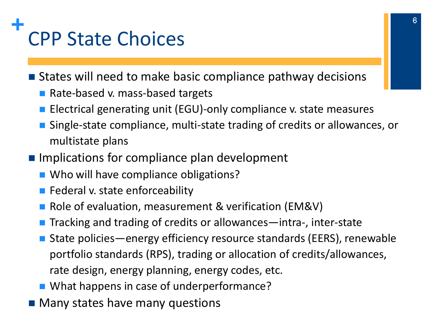## **+** CPP State Choices

■ States will need to make basic compliance pathway decisions

- Rate-based v. mass-based targets
- Electrical generating unit (EGU)-only compliance v. state measures
- Single-state compliance, multi-state trading of credits or allowances, or multistate plans
- **Implications for compliance plan development** 
	- Who will have compliance obligations?
	- $\blacksquare$  Federal v. state enforceability
	- Role of evaluation, measurement & verification (EM&V)
	- Tracking and trading of credits or allowances—intra-, inter-state
	- State policies—energy efficiency resource standards (EERS), renewable portfolio standards (RPS), trading or allocation of credits/allowances, rate design, energy planning, energy codes, etc.
	- What happens in case of underperformance?
- **Many states have many questions**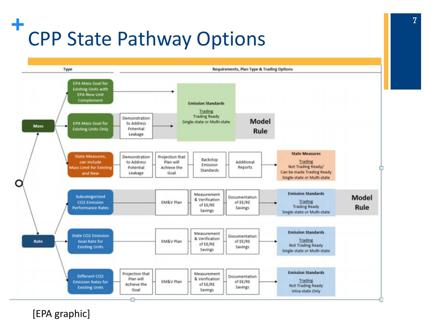## **+** CPP State Pathway Options



[EPA graphic]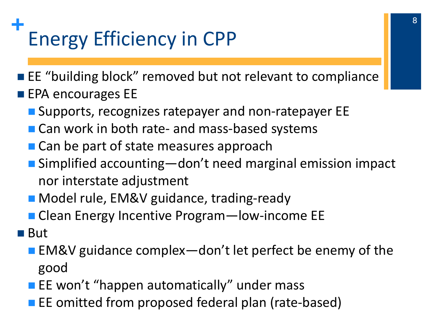## **+** Energy Efficiency in CPP

**EL** "building block" removed but not relevant to compliance

- $\blacksquare$  EPA encourages EE
	- **Supports, recognizes ratepayer and non-ratepayer EE**
	- Can work in both rate- and mass-based systems
	- Can be part of state measures approach
	- Simplified accounting—don't need marginal emission impact nor interstate adjustment
	- Model rule, EM&V guidance, trading-ready
	- Clean Energy Incentive Program—low-income EE
- But
	- EM&V guidance complex—don't let perfect be enemy of the good
	- **EXECT** EE won't "happen automatically" under mass
	- **EXA** EE omitted from proposed federal plan (rate-based)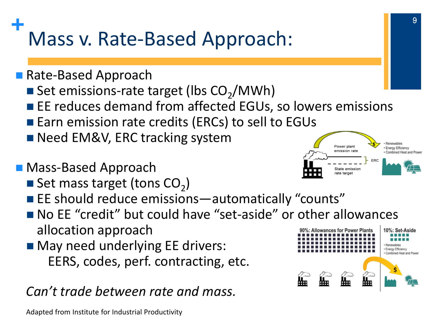## **+** Mass v. Rate-Based Approach:

- Rate-Based Approach
	- Set emissions-rate target (lbs  $CO<sub>2</sub>/MWh$ )
	- **EXTER FE reduces demand from affected EGUs, so lowers emissions**
	- Earn emission rate credits (ERCs) to sell to EGUs
	- Need EM&V, ERC tracking system
- Mass-Based Approach
	- Set mass target (tons  $CO<sub>2</sub>$ )
	- **EXA** EE should reduce emissions—automatically "counts"
	- No EE "credit" but could have "set-aside" or other allowances allocation approach **Allowances for Power Plants**
	- **May need underlying EE drivers:** EERS, codes, perf. contracting, etc.

#### *Can't trade between rate and mass.*

Adapted from Institute for Industrial Productivity



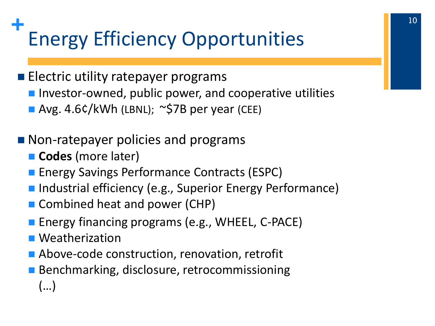## **+** Energy Efficiency Opportunities

#### **Electric utility ratepayer programs**

- **Investor-owned, public power, and cooperative utilities**
- Avg. 4.6¢/kWh (LBNL);  $\sim$ \$7B per year (CEE)

#### ■ Non-ratepayer policies and programs

- **Codes** (more later)
- **Energy Savings Performance Contracts (ESPC)**
- Industrial efficiency (e.g., Superior Energy Performance)
- Combined heat and power (CHP)
- **Energy financing programs (e.g., WHEEL, C-PACE)**
- **Neatherization**
- Above-code construction, renovation, retrofit
- **Benchmarking, disclosure, retrocommissioning** (…)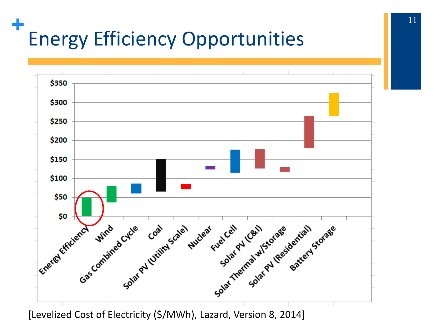## **+** Energy Efficiency Opportunities



[Levelized Cost of Electricity (\$/MWh), Lazard, Version 8, 2014]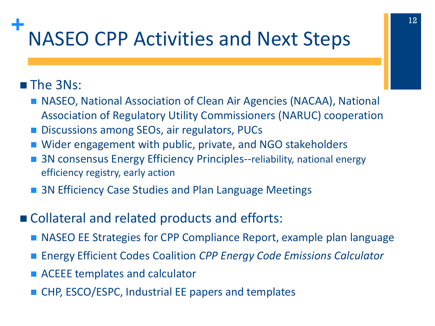### **+** NASEO CPP Activities and Next Steps

#### **The 3Ns:**

- NASEO, National Association of Clean Air Agencies (NACAA), National Association of Regulatory Utility Commissioners (NARUC) cooperation
- Discussions among SEOs, air regulators, PUCs
- Wider engagement with public, private, and NGO stakeholders
- 3N consensus Energy Efficiency Principles--reliability, national energy efficiency registry, early action
- 3N Efficiency Case Studies and Plan Language Meetings
- Collateral and related products and efforts:
	- NASEO EE Strategies for CPP Compliance Report, example plan language
	- Energy Efficient Codes Coalition *CPP Energy Code Emissions Calculator*
	- ACEEE templates and calculator
	- CHP, ESCO/ESPC, Industrial EE papers and templates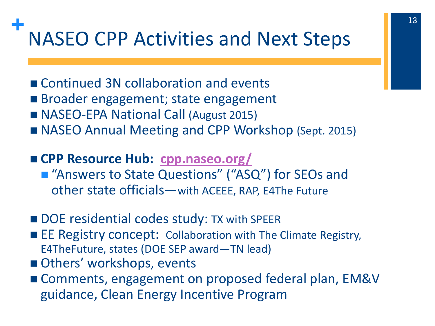### **+** NASEO CPP Activities and Next Steps

- Continued 3N collaboration and events
- Broader engagement; state engagement
- NASEO-EPA National Call (August 2015)
- NASEO Annual Meeting and CPP Workshop (Sept. 2015)
- **CPP Resource Hub: [cpp.naseo.org/](http://www.cpp.naseo.org/)**
	- "Answers to State Questions" ("ASQ") for SEOs and other state officials—with ACEEE, RAP, E4The Future
- DOE residential codes study: TX with SPEER
- EE Registry concept: Collaboration with The Climate Registry, E4TheFuture, states (DOE SEP award—TN lead)
- Others' workshops, events
- Comments, engagement on proposed federal plan, EM&V guidance, Clean Energy Incentive Program